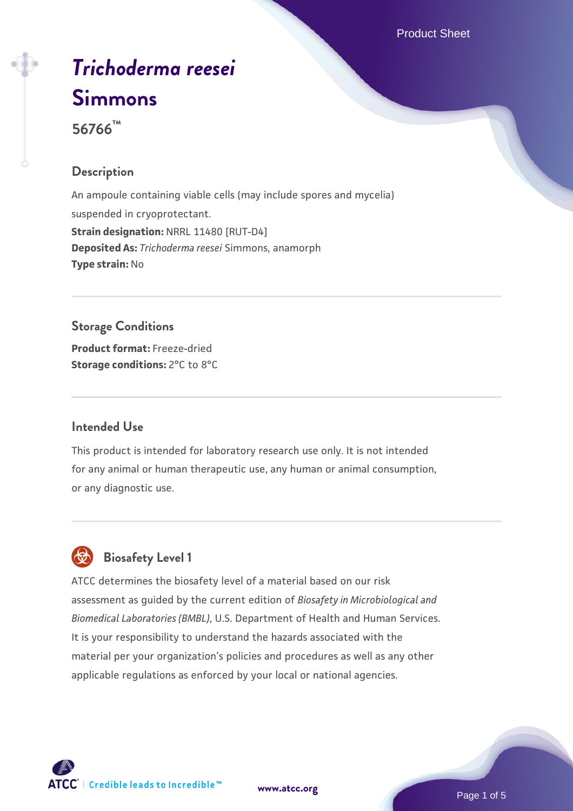# *[Trichoderma reesei](https://www.atcc.org/products/56766)* **[Simmons](https://www.atcc.org/products/56766)**

**56766™**

# **Description**

An ampoule containing viable cells (may include spores and mycelia) suspended in cryoprotectant. **Strain designation:** NRRL 11480 [RUT-D4] **Deposited As:** *Trichoderma reesei* Simmons, anamorph **Type strain:** No

## **Storage Conditions**

**Product format:** Freeze-dried **Storage conditions:** 2°C to 8°C

#### **Intended Use**

This product is intended for laboratory research use only. It is not intended for any animal or human therapeutic use, any human or animal consumption, or any diagnostic use.

# **Biosafety Level 1**

ATCC determines the biosafety level of a material based on our risk assessment as guided by the current edition of *Biosafety in Microbiological and Biomedical Laboratories (BMBL)*, U.S. Department of Health and Human Services. It is your responsibility to understand the hazards associated with the material per your organization's policies and procedures as well as any other applicable regulations as enforced by your local or national agencies.

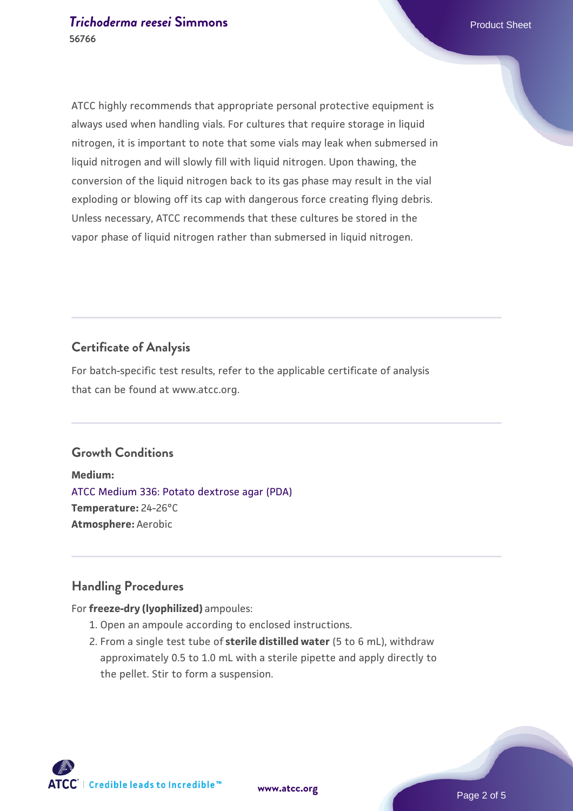#### **[Trichoderma reesei](https://www.atcc.org/products/56766) [Simmons](https://www.atcc.org/products/56766) Product Sheet** Product Sheet **56766**

ATCC highly recommends that appropriate personal protective equipment is always used when handling vials. For cultures that require storage in liquid nitrogen, it is important to note that some vials may leak when submersed in liquid nitrogen and will slowly fill with liquid nitrogen. Upon thawing, the conversion of the liquid nitrogen back to its gas phase may result in the vial exploding or blowing off its cap with dangerous force creating flying debris. Unless necessary, ATCC recommends that these cultures be stored in the vapor phase of liquid nitrogen rather than submersed in liquid nitrogen.

# **Certificate of Analysis**

For batch-specific test results, refer to the applicable certificate of analysis that can be found at www.atcc.org.

#### **Growth Conditions**

**Medium:**  [ATCC Medium 336: Potato dextrose agar \(PDA\)](https://www.atcc.org/-/media/product-assets/documents/microbial-media-formulations/3/3/6/atcc-medium-336.pdf?rev=d9160ad44d934cd8b65175461abbf3b9) **Temperature:** 24-26°C **Atmosphere:** Aerobic

#### **Handling Procedures**

#### For **freeze-dry (lyophilized)** ampoules:

- 1. Open an ampoule according to enclosed instructions.
- 2. From a single test tube of **sterile distilled water** (5 to 6 mL), withdraw approximately 0.5 to 1.0 mL with a sterile pipette and apply directly to the pellet. Stir to form a suspension.

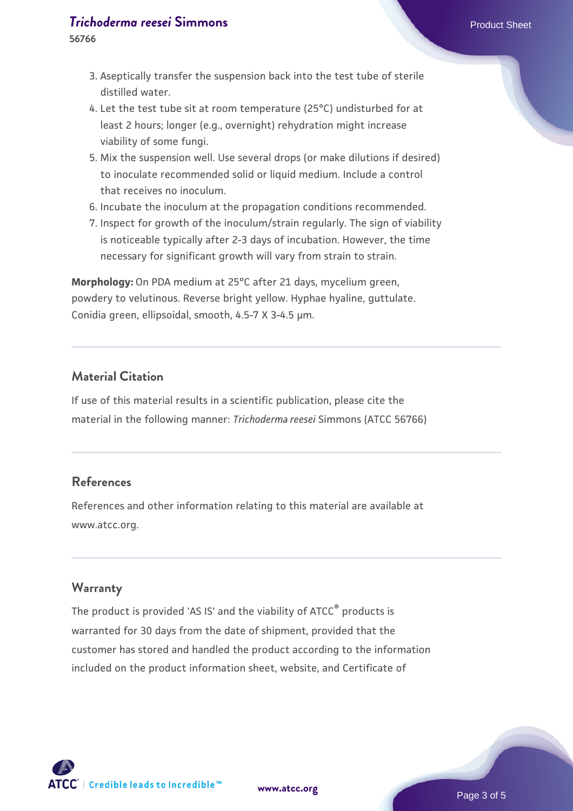#### **[Trichoderma reesei](https://www.atcc.org/products/56766) [Simmons](https://www.atcc.org/products/56766) Product Sheet** Product Sheet

- Aseptically transfer the suspension back into the test tube of sterile 3. distilled water.
- 4. Let the test tube sit at room temperature (25°C) undisturbed for at least 2 hours; longer (e.g., overnight) rehydration might increase viability of some fungi.
- Mix the suspension well. Use several drops (or make dilutions if desired) 5. to inoculate recommended solid or liquid medium. Include a control that receives no inoculum.
- 6. Incubate the inoculum at the propagation conditions recommended.
- 7. Inspect for growth of the inoculum/strain regularly. The sign of viability is noticeable typically after 2-3 days of incubation. However, the time necessary for significant growth will vary from strain to strain.

**Morphology:** On PDA medium at 25°C after 21 days, mycelium green, powdery to velutinous. Reverse bright yellow. Hyphae hyaline, guttulate. Conidia green, ellipsoidal, smooth, 4.5-7 X 3-4.5 µm.

## **Material Citation**

If use of this material results in a scientific publication, please cite the material in the following manner: *Trichoderma reesei* Simmons (ATCC 56766)

# **References**

References and other information relating to this material are available at www.atcc.org.

#### **Warranty**

The product is provided 'AS IS' and the viability of ATCC® products is warranted for 30 days from the date of shipment, provided that the customer has stored and handled the product according to the information included on the product information sheet, website, and Certificate of

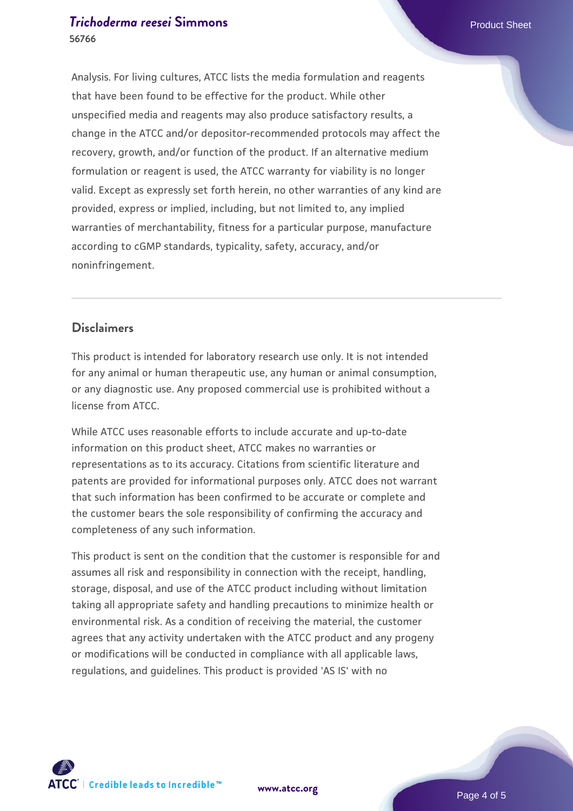#### **[Trichoderma reesei](https://www.atcc.org/products/56766) [Simmons](https://www.atcc.org/products/56766) Product Sheet** Product Sheet **56766**

Analysis. For living cultures, ATCC lists the media formulation and reagents that have been found to be effective for the product. While other unspecified media and reagents may also produce satisfactory results, a change in the ATCC and/or depositor-recommended protocols may affect the recovery, growth, and/or function of the product. If an alternative medium formulation or reagent is used, the ATCC warranty for viability is no longer valid. Except as expressly set forth herein, no other warranties of any kind are provided, express or implied, including, but not limited to, any implied warranties of merchantability, fitness for a particular purpose, manufacture according to cGMP standards, typicality, safety, accuracy, and/or noninfringement.

# **Disclaimers**

This product is intended for laboratory research use only. It is not intended for any animal or human therapeutic use, any human or animal consumption, or any diagnostic use. Any proposed commercial use is prohibited without a license from ATCC.

While ATCC uses reasonable efforts to include accurate and up-to-date information on this product sheet, ATCC makes no warranties or representations as to its accuracy. Citations from scientific literature and patents are provided for informational purposes only. ATCC does not warrant that such information has been confirmed to be accurate or complete and the customer bears the sole responsibility of confirming the accuracy and completeness of any such information.

This product is sent on the condition that the customer is responsible for and assumes all risk and responsibility in connection with the receipt, handling, storage, disposal, and use of the ATCC product including without limitation taking all appropriate safety and handling precautions to minimize health or environmental risk. As a condition of receiving the material, the customer agrees that any activity undertaken with the ATCC product and any progeny or modifications will be conducted in compliance with all applicable laws, regulations, and guidelines. This product is provided 'AS IS' with no



**[www.atcc.org](http://www.atcc.org)**

Page 4 of 5